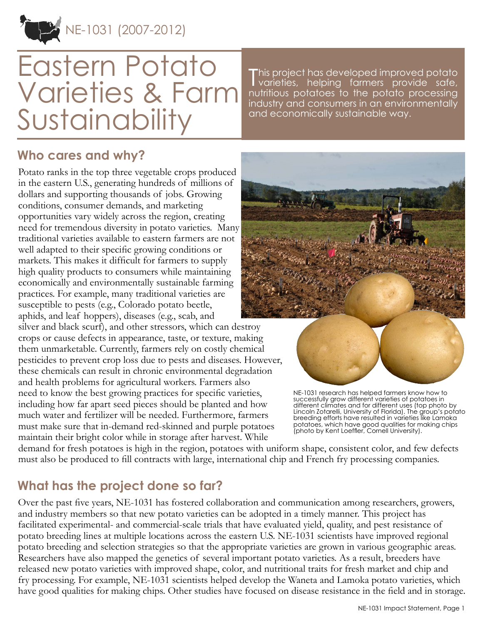NE-1031 (2007-2012)

# Eastern Potato Varieties & Farm Sustainability

This project has developed improved potato<br>
varieties, helping farmers provide safe, varieties, helping farmers provide safe, nutritious potatoes to the potato processing industry and consumers in an environmentally and economically sustainable way.

## **Who cares and why?**

Potato ranks in the top three vegetable crops produced in the eastern U.S., generating hundreds of millions of dollars and supporting thousands of jobs. Growing conditions, consumer demands, and marketing opportunities vary widely across the region, creating need for tremendous diversity in potato varieties. Many traditional varieties available to eastern farmers are not well adapted to their specific growing conditions or markets. This makes it difficult for farmers to supply high quality products to consumers while maintaining economically and environmentally sustainable farming practices. For example, many traditional varieties are susceptible to pests (e.g., Colorado potato beetle, aphids, and leaf hoppers), diseases (e.g., scab, and

silver and black scurf), and other stressors, which can destroy crops or cause defects in appearance, taste, or texture, making them unmarketable. Currently, farmers rely on costly chemical pesticides to prevent crop loss due to pests and diseases. However, these chemicals can result in chronic environmental degradation and health problems for agricultural workers. Farmers also need to know the best growing practices for specific varieties, including how far apart seed pieces should be planted and how much water and fertilizer will be needed. Furthermore, farmers must make sure that in-demand red-skinned and purple potatoes maintain their bright color while in storage after harvest. While



NE-1031 research has helped farmers know how to successfully grow different varieties of potatoes in different climates and for different uses (top photo by Lincoln Zotarelli, University of Florida). The group's potato breeding efforts have resulted in varieties like Lamoka potatoes, which have good qualities for making chips (photo by Kent Loeffler, Cornell University).

demand for fresh potatoes is high in the region, potatoes with uniform shape, consistent color, and few defects must also be produced to fill contracts with large, international chip and French fry processing companies.

## **What has the project done so far?**

Over the past five years, NE-1031 has fostered collaboration and communication among researchers, growers, and industry members so that new potato varieties can be adopted in a timely manner. This project has facilitated experimental- and commercial-scale trials that have evaluated yield, quality, and pest resistance of potato breeding lines at multiple locations across the eastern U.S. NE-1031 scientists have improved regional potato breeding and selection strategies so that the appropriate varieties are grown in various geographic areas. Researchers have also mapped the genetics of several important potato varieties. As a result, breeders have released new potato varieties with improved shape, color, and nutritional traits for fresh market and chip and fry processing. For example, NE-1031 scientists helped develop the Waneta and Lamoka potato varieties, which have good qualities for making chips. Other studies have focused on disease resistance in the field and in storage.